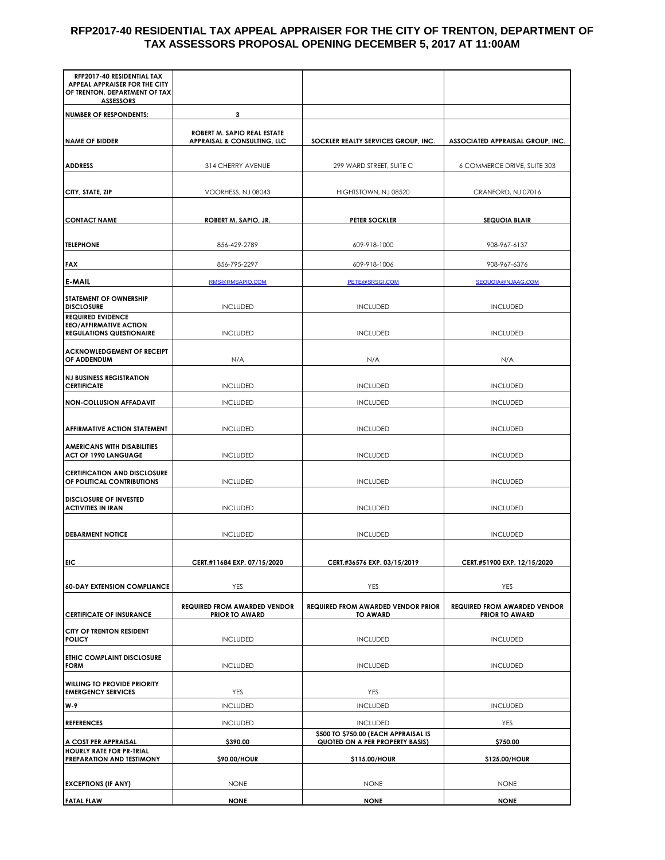## **RFP2017-40 RESIDENTIAL TAX APPEAL APPRAISER FOR THE CITY OF TRENTON, DEPARTMENT OF TAX ASSESSORS PROPOSAL OPENING DECEMBER 5, 2017 AT 11:00AM**

| RFP2017-40 RESIDENTIAL TAX<br>APPEAL APPRAISER FOR THE CITY<br>OF TRENTON, DEPARTMENT OF TAX |                                                              |                                                                         |                                                              |
|----------------------------------------------------------------------------------------------|--------------------------------------------------------------|-------------------------------------------------------------------------|--------------------------------------------------------------|
| <b>ASSESSORS</b><br><b>NUMBER OF RESPONDENTS:</b>                                            | 3                                                            |                                                                         |                                                              |
|                                                                                              | ROBERT M. SAPIO REAL ESTATE                                  |                                                                         |                                                              |
| <b>NAME OF BIDDER</b>                                                                        | <b>APPRAISAL &amp; CONSULTING, LLC</b>                       | SOCKLER REALTY SERVICES GROUP, INC.                                     | ASSOCIATED APPRAISAL GROUP, INC.                             |
| <b>ADDRESS</b>                                                                               | 314 CHERRY AVENUE                                            | 299 WARD STREET, SUITE C                                                | 6 COMMERCE DRIVE, SUITE 303                                  |
|                                                                                              |                                                              |                                                                         |                                                              |
| CITY, STATE, ZIP                                                                             | VOORHESS, NJ 08043                                           | HIGHTSTOWN, NJ 08520                                                    | CRANFORD, NJ 07016                                           |
| <b>CONTACT NAME</b>                                                                          | ROBERT M. SAPIO, JR.                                         | <b>PETER SOCKLER</b>                                                    | <b>SEQUOIA BLAIR</b>                                         |
| <b>TELEPHONE</b>                                                                             | 856-429-2789                                                 | 609-918-1000                                                            | 908-967-6137                                                 |
| <b>FAX</b>                                                                                   | 856-795-2297                                                 | 609-918-1006                                                            | 908-967-6376                                                 |
| <b>E-MAIL</b>                                                                                | RMS@RMSAPIO.COM                                              | PETE@SRSGI.COM                                                          | SEQUOIA@NJAAG.COM                                            |
| <b>STATEMENT OF OWNERSHIP</b><br><b>DISCLOSURE</b><br><b>REQUIRED EVIDENCE</b>               | <b>INCLUDED</b>                                              | <b>INCLUDED</b>                                                         | <b>INCLUDED</b>                                              |
| <b>EEO/AFFIRMATIVE ACTION</b><br><b>REGULATIONS QUESTIONAIRE</b>                             | <b>INCLUDED</b>                                              | <b>INCLUDED</b>                                                         | <b>INCLUDED</b>                                              |
| <b>ACKNOWLEDGEMENT OF RECEIPT</b><br>OF ADDENDUM                                             | N/A                                                          | N/A                                                                     | N/A                                                          |
| <b>NJ BUSINESS REGISTRATION</b><br><b>CERTIFICATE</b>                                        | <b>INCLUDED</b>                                              | <b>INCLUDED</b>                                                         | <b>INCLUDED</b>                                              |
| <b>NON-COLLUSION AFFADAVIT</b>                                                               | <b>INCLUDED</b>                                              | <b>INCLUDED</b>                                                         | <b>INCLUDED</b>                                              |
| <b>AFFIRMATIVE ACTION STATEMENT</b>                                                          | <b>INCLUDED</b>                                              | <b>INCLUDED</b>                                                         | <b>INCLUDED</b>                                              |
| <b>AMERICANS WITH DISABILITIES</b><br><b>ACT OF 1990 LANGUAGE</b>                            | <b>INCLUDED</b>                                              | <b>INCLUDED</b>                                                         | <b>INCLUDED</b>                                              |
| <b>CERTIFICATION AND DISCLOSURE</b><br>OF POLITICAL CONTRIBUTIONS                            | <b>INCLUDED</b>                                              | <b>INCLUDED</b>                                                         | <b>INCLUDED</b>                                              |
| <b>DISCLOSURE OF INVESTED</b><br><b>ACTIVITIES IN IRAN</b>                                   | <b>INCLUDED</b>                                              | <b>INCLUDED</b>                                                         | <b>INCLUDED</b>                                              |
| <b>DEBARMENT NOTICE</b>                                                                      | <b>INCLUDED</b>                                              | <b>INCLUDED</b>                                                         | <b>INCLUDED</b>                                              |
| <b>EIC</b>                                                                                   | CERT.#11684 EXP. 07/15/2020                                  | CERT.#36576 EXP. 03/15/2019                                             | CERT.#51900 EXP. 12/15/2020                                  |
| <b>60-DAY EXTENSION COMPLIANCE</b>                                                           | YES                                                          | YES                                                                     | YES                                                          |
| <b>CERTIFICATE OF INSURANCE</b>                                                              | <b>REQUIRED FROM AWARDED VENDOR</b><br><b>PRIOR TO AWARD</b> | REQUIRED FROM AWARDED VENDOR PRIOR<br><b>TO AWARD</b>                   | <b>REQUIRED FROM AWARDED VENDOR</b><br><b>PRIOR TO AWARD</b> |
| CITY OF TRENTON RESIDENT<br><b>POLICY</b>                                                    | <b>INCLUDED</b>                                              | <b>INCLUDED</b>                                                         | <b>INCLUDED</b>                                              |
| <b>ETHIC COMPLAINT DISCLOSURE</b><br><b>FORM</b>                                             | <b>INCLUDED</b>                                              | <b>INCLUDED</b>                                                         | <b>INCLUDED</b>                                              |
| <b>WILLING TO PROVIDE PRIORITY</b><br><b>EMERGENCY SERVICES</b>                              | YES                                                          | YES                                                                     |                                                              |
| W-9                                                                                          | <b>INCLUDED</b>                                              | <b>INCLUDED</b>                                                         | <b>INCLUDED</b>                                              |
| <b>REFERENCES</b>                                                                            | <b>INCLUDED</b>                                              | <b>INCLUDED</b>                                                         | YES                                                          |
| A COST PER APPRAISAL                                                                         | \$390.00                                                     | \$500 TO \$750.00 (EACH APPRAISAL IS<br>QUOTED ON A PER PROPERTY BASIS) | \$750.00                                                     |
| <b>HOURLY RATE FOR PR-TRIAL</b><br><b>PREPARATION AND TESTIMONY</b>                          | \$90.00/HOUR                                                 | \$115.00/HOUR                                                           | \$125.00/HOUR                                                |
| <b>EXCEPTIONS (IF ANY)</b>                                                                   | <b>NONE</b>                                                  | <b>NONE</b>                                                             | <b>NONE</b>                                                  |
| <b>FATAL FLAW</b>                                                                            | <b>NONE</b>                                                  | <b>NONE</b>                                                             | <b>NONE</b>                                                  |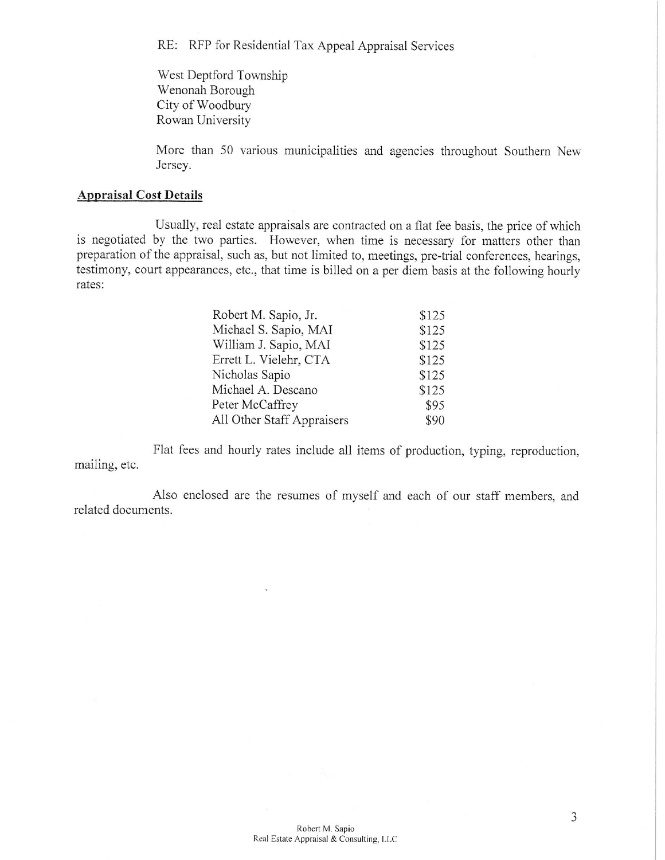RE: RFP for Residential Tax Appeal Appraisal Services

West Deptford Township Wenonah Borough City of Woodbury Rowan University

More than 50 various municipalities and agencies throughout Southern New Jersey.

## **Appraisal Cost Details**

Usually, real estate appraisals are contracted on a flat fee basis, the price of which is negotiated by the two parties. However, when time is necessary for matters other than preparation of the appraisal, such as, but not limited to, meetings, pre-trial conferences, hearings, testimony, court appearances, etc., that time is billed on a per diem basis at the following hourly rates:

| Robert M. Sapio, Jr.       | \$125 |
|----------------------------|-------|
| Michael S. Sapio, MAI      | \$125 |
| William J. Sapio, MAI      | \$125 |
| Errett L. Vielehr, CTA     | \$125 |
| Nicholas Sapio             | \$125 |
| Michael A. Descano         | \$125 |
| Peter McCaffrey            | \$95  |
| All Other Staff Appraisers | \$90  |

Flat fees and hourly rates include all items of production, typing, reproduction, mailing, etc.

Also enclosed are the resumes of myself and each of our staff members, and related documents.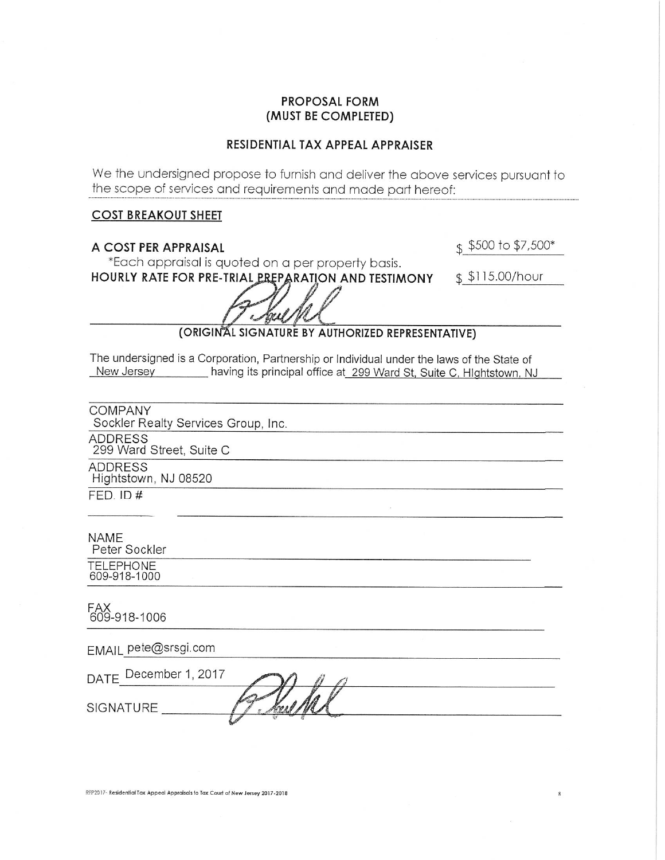## **PROPOSAL FORM** (MUST BE COMPLETED)

#### RESIDENTIAL TAX APPEAL APPRAISER

We the undersigned propose to furnish and deliver the above services pursuant to the scope of services and requirements and made part hereof:

#### **COST BREAKOUT SHEET**

A COST PER APPRAISAL

 $$500$  to \$7,500\*

\*Each appraisal is quoted on a per property basis. HOURLY RATE FOR PRE-TRIAL PREPARATION AND TESTIMONY

\$\$115.00/hour

## (ORIGINAL SIGNATURE BY AUTHORIZED REPRESENTATIVE)

The undersigned is a Corporation, Partnership or Individual under the laws of the State of New Jersey having its principal office at 299 Ward St, Suite C, Hlghtstown, NJ

**COMPANY** Sockler Realty Services Group, Inc.

**ADDRESS** 

299 Ward Street, Suite C

**ADDRESS** Hightstown, NJ 08520

 $FED. ID#$ 

**NAME** 

Peter Sockler

**TELEPHONE** 609-918-1000

FAX<br>609-918-1006

EMAIL pete@srsgi.com

| DATE December 1, 2017 |                                                      |  |
|-----------------------|------------------------------------------------------|--|
| <b>SIGNATURE</b>      | $\mathscr{P}$ $\mathscr{L}$<br><b>TOO OF THE USE</b> |  |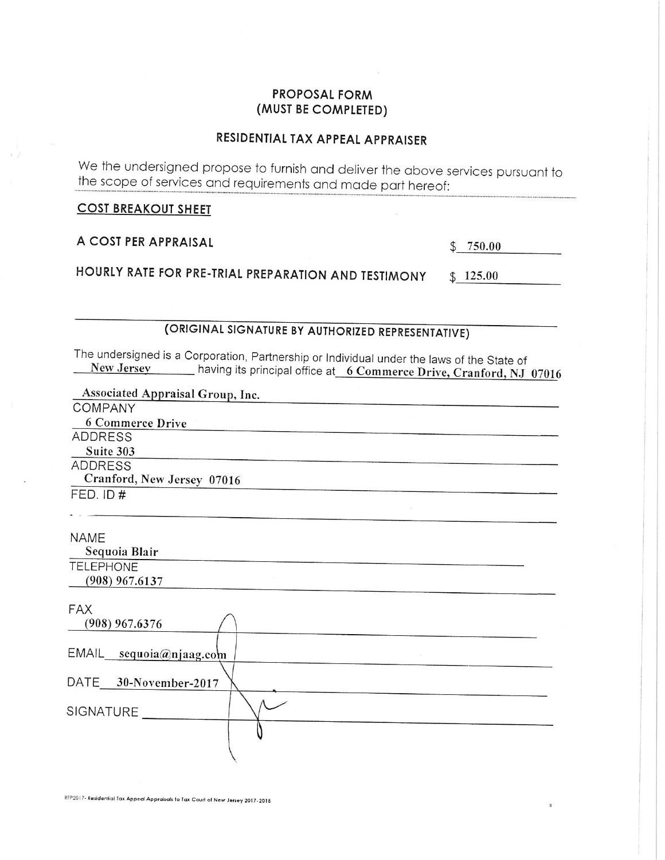## **PROPOSAL FORM** (MUST BE COMPLETED)

# RESIDENTIAL TAX APPEAL APPRAISER

We the undersigned propose to furnish and deliver the above services pursuant to the scope of services and requirements and made part hereof:

**COST BREAKOUT SHEET** 

A COST PER APPRAISAL

 $$750.00$ 

HOURLY RATE FOR PRE-TRIAL PREPARATION AND TESTIMONY  $$125.00$ 

(ORIGINAL SIGNATURE BY AUTHORIZED REPRESENTATIVE)

The undersigned is a Corporation, Partnership or Individual under the laws of the State of New Jersey having its principal office at 6 Commerce Drive, Cranford, NJ 07016

| Associated Appraisal Group, Inc. |
|----------------------------------|
| COMPANY                          |
| 6 Commerce Drive                 |
| ADDRESS                          |
| Suite 303                        |
| <b>ADDRESS</b>                   |
| Cranford, New Jersey 07016       |
| FED. ID#                         |
|                                  |
| <b>NAME</b>                      |
| Sequoia Blair                    |
| <b>TELEPHONE</b>                 |
| $(908)$ 967.6137                 |
|                                  |
| <b>FAX</b>                       |
| $(908)$ 967.6376                 |
| EMAIL sequoia@njaag.com          |
|                                  |
| DATE 30-November-2017            |
| SIGNATURE                        |
|                                  |
|                                  |